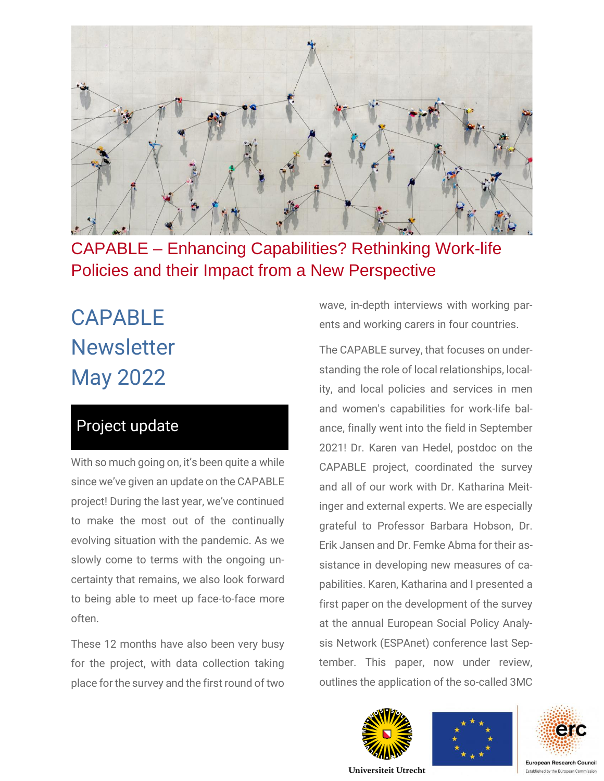

CAPABLE – Enhancing Capabilities? Rethinking Work-life Policies and their Impact from a New Perspective

# CAPABLE **Newsletter** May 2022

# Project update

With so much going on, it's been quite a while since we've given an update on the CAPABLE project! During the last year, we've continued to make the most out of the continually evolving situation with the pandemic. As we slowly come to terms with the ongoing uncertainty that remains, we also look forward to being able to meet up face-to-face more often.

These 12 months have also been very busy for the project, with data collection taking place for the survey and the first round of two

wave, in-depth interviews with working parents and working carers in four countries.

The CAPABLE survey, that focuses on understanding the role of local relationships, locality, and local policies and services in men and women's capabilities for work-life balance, finally went into the field in September 2021! Dr. Karen van Hedel, postdoc on the CAPABLE project, coordinated the survey and all of our work with Dr. Katharina Meitinger and external experts. We are especially grateful to Professor Barbara Hobson, Dr. Erik Jansen and Dr. Femke Abma for their assistance in developing new measures of capabilities. Karen, Katharina and I presented a first paper on the development of the survey at the annual European Social Policy Analysis Network (ESPAnet) conference last September. This paper, now under review, outlines the application of the so-called 3MC







Universiteit Utrecht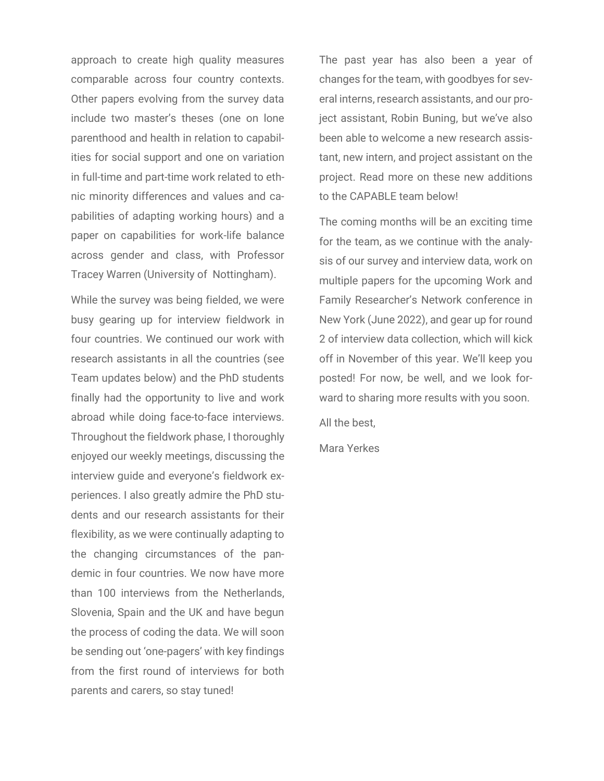approach to create high quality measures comparable across four country contexts. Other papers evolving from the survey data include two master's theses (one on lone parenthood and health in relation to capabilities for social support and one on variation in full-time and part-time work related to ethnic minority differences and values and capabilities of adapting working hours) and a paper on capabilities for work-life balance across gender and class, with Professor Tracey Warren (University of Nottingham).

While the survey was being fielded, we were busy gearing up for interview fieldwork in four countries. We continued our work with research assistants in all the countries (see Team updates below) and the PhD students finally had the opportunity to live and work abroad while doing face-to-face interviews. Throughout the fieldwork phase, I thoroughly enjoyed our weekly meetings, discussing the interview guide and everyone's fieldwork experiences. I also greatly admire the PhD students and our research assistants for their flexibility, as we were continually adapting to the changing circumstances of the pandemic in four countries. We now have more than 100 interviews from the Netherlands, Slovenia, Spain and the UK and have begun the process of coding the data. We will soon be sending out 'one-pagers' with key findings from the first round of interviews for both parents and carers, so stay tuned!

The past year has also been a year of changes for the team, with goodbyes for several interns, research assistants, and our project assistant, Robin Buning, but we've also been able to welcome a new research assistant, new intern, and project assistant on the project. Read more on these new additions to the CAPABLE team below!

The coming months will be an exciting time for the team, as we continue with the analysis of our survey and interview data, work on multiple papers for the upcoming Work and Family Researcher's Network conference in New York (June 2022), and gear up for round 2 of interview data collection, which will kick off in November of this year. We'll keep you posted! For now, be well, and we look forward to sharing more results with you soon.

All the best,

Mara Yerkes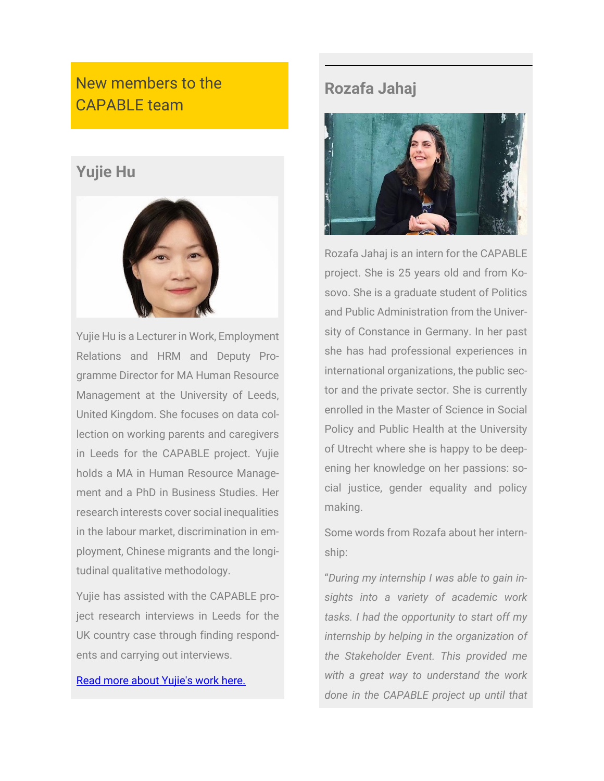# New members to the CAPABLE team

## **Yujie Hu**



Yujie Hu is a Lecturer in Work, Employment Relations and HRM and Deputy Programme Director for MA Human Resource Management at the University of Leeds, United Kingdom. She focuses on data collection on working parents and caregivers in Leeds for the CAPABLE project. Yujie holds a MA in Human Resource Management and a PhD in Business Studies. Her research interests cover social inequalities in the labour market, discrimination in employment, Chinese migrants and the longitudinal qualitative methodology.

Yujie has assisted with the CAPABLE project research interviews in Leeds for the UK country case through finding respondents and carrying out interviews.

#### [Read more about Yujie's work here.](https://business.leeds.ac.uk/divisions-work-employment-relations/staff/522/yujie-hu)

### **Rozafa Jahaj**



Rozafa Jahaj is an intern for the CAPABLE project. She is 25 years old and from Kosovo. She is a graduate student of Politics and Public Administration from the University of Constance in Germany. In her past she has had professional experiences in international organizations, the public sector and the private sector. She is currently enrolled in the Master of Science in Social Policy and Public Health at the University of Utrecht where she is happy to be deepening her knowledge on her passions: social justice, gender equality and policy making.

Some words from Rozafa about her internship:

"*During my internship I was able to gain insights into a variety of academic work tasks. I had the opportunity to start off my internship by helping in the organization of the Stakeholder Event. This provided me with a great way to understand the work done in the CAPABLE project up until that*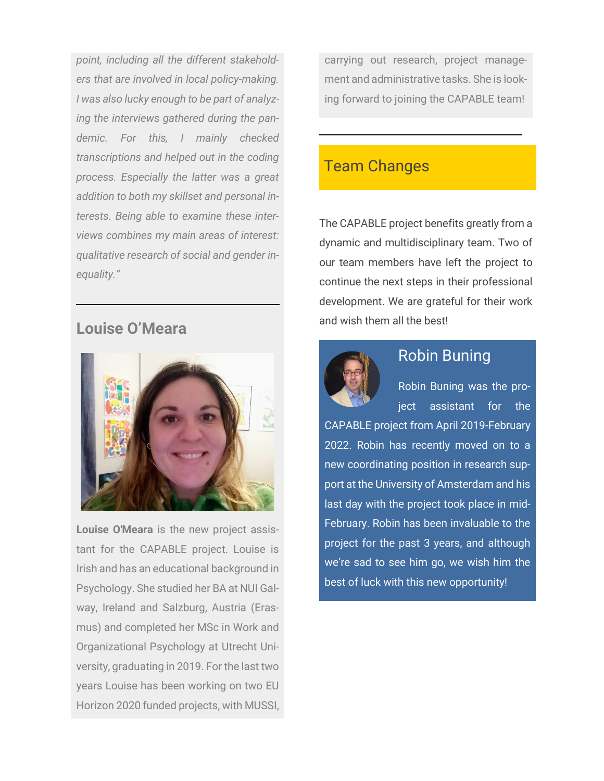*point, including all the different stakeholders that are involved in local policy-making. I was also lucky enough to be part of analyzing the interviews gathered during the pandemic. For this, I mainly checked transcriptions and helped out in the coding process. Especially the latter was a great addition to both my skillset and personal interests. Being able to examine these interviews combines my main areas of interest: qualitative research of social and gender inequality."*

### **Louise O'Meara**



**Louise O'Meara** is the new project assistant for the CAPABLE project. Louise is Irish and has an educational background in Psychology. She studied her BA at NUI Galway, Ireland and Salzburg, Austria (Erasmus) and completed her MSc in Work and Organizational Psychology at Utrecht University, graduating in 2019. For the last two years Louise has been working on two EU Horizon 2020 funded projects, with MUSSI,

carrying out research, project management and administrative tasks. She is looking forward to joining the CAPABLE team!

### Team Changes

The CAPABLE project benefits greatly from a dynamic and multidisciplinary team. Two of our team members have left the project to continue the next steps in their professional development. We are grateful for their work and wish them all the best!



### Robin Buning

Robin Buning was the project assistant for the

CAPABLE project from April 2019-February 2022. Robin has recently moved on to a new coordinating position in research support at the University of Amsterdam and his last day with the project took place in mid-February. Robin has been invaluable to the project for the past 3 years, and although we're sad to see him go, we wish him the best of luck with this new opportunity!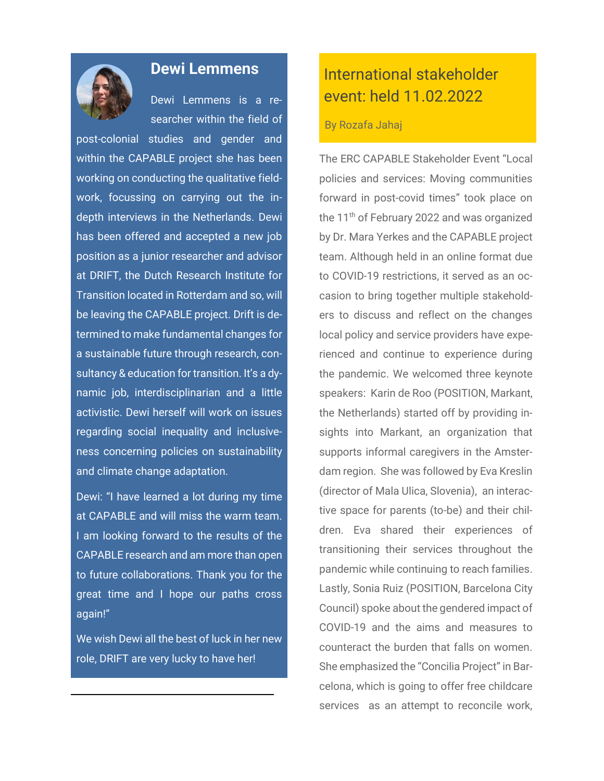

#### **Dewi Lemmens**

Dewi Lemmens is a researcher within the field of

post-colonial studies and gender and within the CAPABLE project she has been working on conducting the qualitative fieldwork, focussing on carrying out the indepth interviews in the Netherlands. Dewi has been offered and accepted a new job position as a junior researcher and advisor at DRIFT, the Dutch Research Institute for Transition located in Rotterdam and so, will be leaving the CAPABLE project. Drift is determined to make fundamental changes for a sustainable future through research, consultancy & education for transition. It's a dynamic job, interdisciplinarian and a little activistic. Dewi herself will work on issues regarding social inequality and inclusiveness concerning policies on sustainability and climate change adaptation.

Dewi: "I have learned a lot during my time at CAPABLE and will miss the warm team. I am looking forward to the results of the CAPABLE research and am more than open to future collaborations. Thank you for the great time and I hope our paths cross again!"

We wish Dewi all the best of luck in her new role, DRIFT are very lucky to have her!

# International stakeholder event: held 11.02.2022

#### By Rozafa Jahaj

The ERC CAPABLE Stakeholder Event "Local policies and services: Moving communities forward in post-covid times" took place on the 11<sup>th</sup> of February 2022 and was organized by Dr. Mara Yerkes and the CAPABLE project team. Although held in an online format due to COVID-19 restrictions, it served as an occasion to bring together multiple stakeholders to discuss and reflect on the changes local policy and service providers have experienced and continue to experience during the pandemic. We welcomed three keynote speakers: Karin de Roo (POSITION, Markant, the Netherlands) started off by providing insights into Markant, an organization that supports informal caregivers in the Amsterdam region. She was followed by Eva Kreslin (director of Mala Ulica, Slovenia), an interactive space for parents (to-be) and their children. Eva shared their experiences of transitioning their services throughout the pandemic while continuing to reach families. Lastly, Sonia Ruiz (POSITION, Barcelona City Council) spoke about the gendered impact of COVID-19 and the aims and measures to counteract the burden that falls on women. She emphasized the "Concilia Project" in Barcelona, which is going to offer free childcare services as an attempt to reconcile work,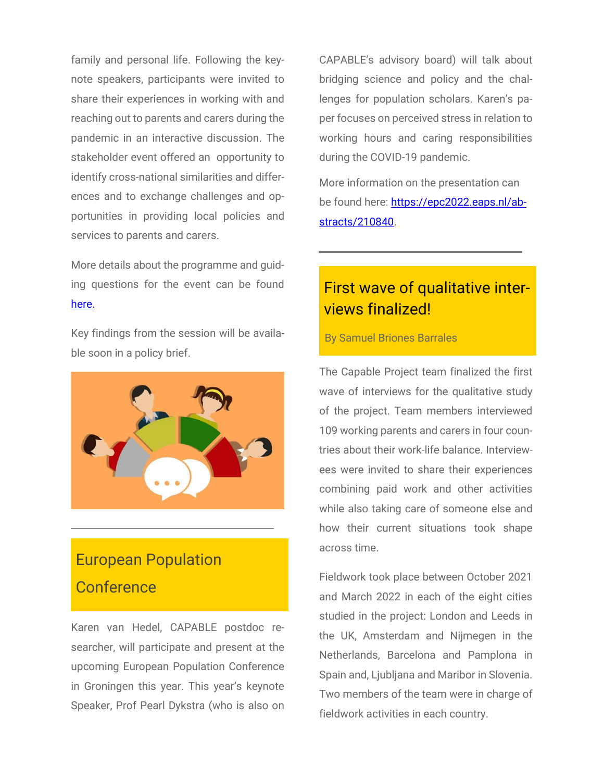family and personal life. Following the keynote speakers, participants were invited to share their experiences in working with and reaching out to parents and carers during the pandemic in an interactive discussion. The stakeholder event offered an opportunity to identify cross-national similarities and differences and to exchange challenges and opportunities in providing local policies and services to parents and carers.

More details about the programme and guiding questions for the event can be found [here.](https://worklifecapabilities.com/stakeholder-event/)

Key findings from the session will be available soon in a policy brief.



# European Population **Conference**

Karen van Hedel, CAPABLE postdoc researcher, will participate and present at the upcoming European Population Conference in Groningen this year. This year's keynote Speaker, Prof Pearl Dykstra (who is also on

CAPABLE's advisory board) will talk about bridging science and policy and the challenges for population scholars. Karen's paper focuses on perceived stress in relation to working hours and caring responsibilities during the COVID-19 pandemic.

More information on the presentation can be found here: [https://epc2022.eaps.nl/ab](https://epc2022.eaps.nl/abstracts/210840)[stracts/210840.](https://epc2022.eaps.nl/abstracts/210840)

# First wave of qualitative interviews finalized!

#### By Samuel Briones Barrales

The Capable Project team finalized the first wave of interviews for the qualitative study of the project. Team members interviewed 109 working parents and carers in four countries about their work-life balance. Interviewees were invited to share their experiences combining paid work and other activities while also taking care of someone else and how their current situations took shape across time.

Fieldwork took place between October 2021 and March 2022 in each of the eight cities studied in the project: London and Leeds in the UK, Amsterdam and Nijmegen in the Netherlands, Barcelona and Pamplona in Spain and, Ljubljana and Maribor in Slovenia. Two members of the team were in charge of fieldwork activities in each country.